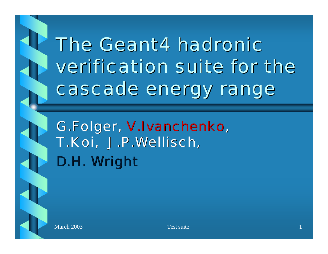# The Geant4 hadronic verification suite for the cascade energy range



G.Folger, V.Ivanchenko, T.Koi, J.P.Wellisch, D.H. Wright

March 2003 **Test suite** 1 and 2003 **Test suite** 1 and 2003 **Test suite** 1 and 2003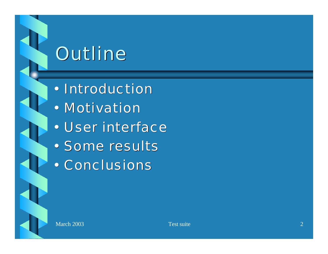## Outline

- Introduction
- Motivation
- User interface
- Some results
- Conclusions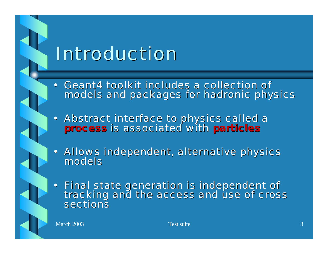## Introduction

- Geant4 toolkit includes a collection of models and packages for hadronic physics
- Abstract interface to physics called a *process* is associated with *particles*

• Allows independent, alternative physics models

• Final state generation is independent of tracking and the access and use of cross sections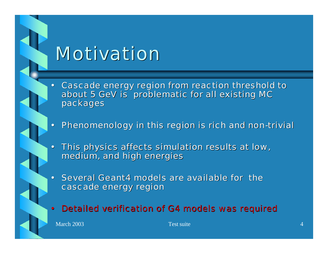### Motivation

- Cascade energy region from reaction threshold to about 5 GeV is problematic for all existing MC packages
- Phenomenology in this region is rich and non-trivial
- This physics affects simulation results at low, medium, and high energies
- Several Geant4 models are available for the cascade energy region
- Detailed verification of G4 models was required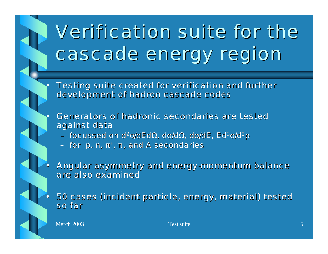

# Verification suite for the cascade energy region

Testing suite created for verification and further development of hadron cascade codes

- Generators of hadronic secondaries are tested against data
	- $-$  focussed on d<sup>2</sup>σ/dEdΩ, dσ/dΩ, dσ/dE, Ed<sup>3</sup>σ/d<sup>3</sup>p
	- for  $p, n, \pi$ ,  $\pi$ , and A secondaries

• Angular asymmetry and energy-momentum balance are also examined

• 50 cases (incident particle, energy, material) tested so far

March 2003 **Test suite** 5 and 5 and 5 and 5 and 5 and 5 and 5 and 5 and 5 and 5 and 5 and 5 and 5 and 5 and 5 and 5 and 5 and 5 and 5 and 5 and 5 and 5 and 5 and 5 and 5 and 5 and 5 and 5 and 5 and 5 and 5 and 5 and 5 and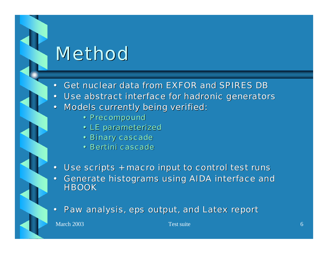### **Method**

- Get nuclear data from EXFOR and SPIRES DB
- Use abstract interface for hadronic generators
- Models currently being verified:
	- Precompound
	- LE parameterized
	- Binary cascade
	- Bertini cascade
- Use scripts + macro input to control test runs
- Generate histograms using AIDA interface and **HBOOK**
- Paw analysis, eps output, and Latex report

March 2003 **Test suite** 6 and 2003 **Test suite** 6 and 2003 **Test suite** 6 and 2003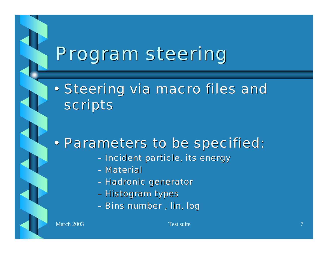## Program steering

• Steering via macro files and scripts

#### • Parameters to be specified:

- Incident particle, its energy
- Material
- Hadronic generator
- Histogram types
- Bins number , lin, log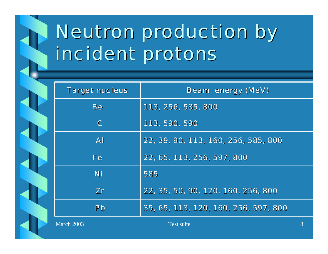

# Neutron production by incident protons

| <b>Target nucleus</b> | Beam energy (MeV)                    |
|-----------------------|--------------------------------------|
| Be                    | 113, 256, 585, 800                   |
| $\mathsf{C}$          | 113, 590, 590                        |
| $\mathsf{A}$          | 22, 39, 90, 113, 160, 256, 585, 800  |
| <b>Fe</b>             | 22, 65, 113, 256, 597, 800           |
| Ni                    | 585                                  |
| Zr                    | 22, 35, 50, 90, 120, 160, 256, 800   |
| Pb                    | 35, 65, 113, 120, 160, 256, 597, 800 |

March 2003 **Test suite** 8 and 2003 **Test suite** 8 and 2003 **S**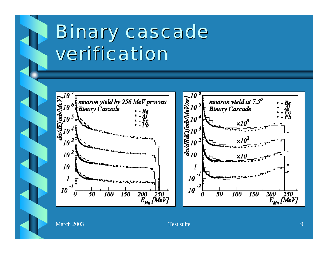

## Binary cascade verification



March 2003 **Test suite** 9

 $\overline{\overset{200}{E}_{\text{kin}}\overset{250}{[MeV]}}$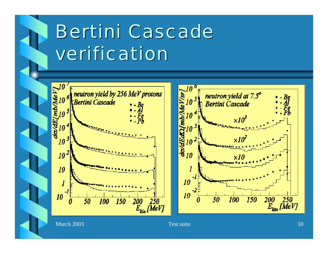

# Bertini Cascade verification

 $\begin{array}{c}\n\hline\n\end{array}\n\qquad\n\begin{array}{c}\n\hline\n\end{array}\n\qquad\n\begin{array}{c}\n\hline\n\end{array}\n\qquad\n\begin{array}{c}\n\hline\n\end{array}\n\qquad\n\begin{array}{c}\n\hline\n\end{array}\n\qquad\n\begin{array}{c}\n\hline\n\end{array}\n\qquad\n\begin{array}{c}\n\hline\n\end{array}\n\qquad\n\begin{array}{c}\n\hline\n\end{array}\n\qquad\n\begin{array}{c}\n\hline\n\end{array}\n\qquad\n\begin{array}{c}\n\hline\n\end{array}\n\qquad\n$ neutron yield by 256 MeV protons Bertini Cascade do/dE/ 10  $10<sup>2</sup>$ 10 10  $\overline{\frac{200}{E_{kin}}}\overline{\frac{250}{250}}$ 50 *150 100* 



March 2003 **Test suite** 10 and 2003 **Test suite** 10 and 2003 **Test suite** 10 and 2003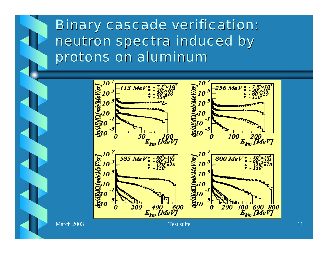

Binary cascade verification: neutron spectra induced by protons on aluminum



March 2003 **Test suite** 11 and 2003 **Test suite** 11 and 2003 **Test suite** 11 and 2003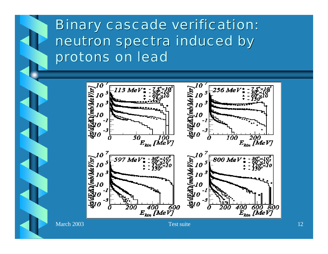

#### Binary cascade verification: neutron spectra induced by protons on lead

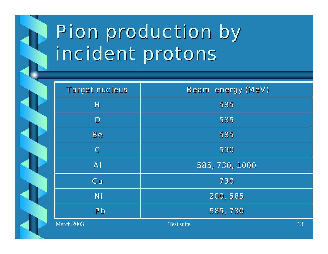

# Pion production by incident protons

| <b>Target nucleus</b> | Beam energy (MeV) |    |
|-----------------------|-------------------|----|
| H                     | 585               |    |
| $\mathbf{D}$          | 585               |    |
| <b>Be</b>             | 585               |    |
| $\mathbf C$           | 590               |    |
| $\mathsf{A}$          | 585, 730, 1000    |    |
| Cu                    | 730               |    |
| Ni                    | 200, 585          |    |
| Pb                    | 585, 730          |    |
| March 2003            | Test suite        | 13 |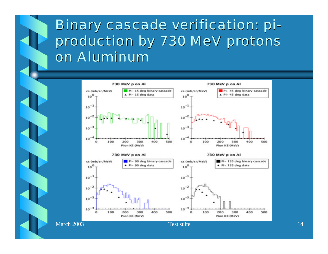

#### Binary cascade verification: piproduction by 730 MeV protons on Aluminum

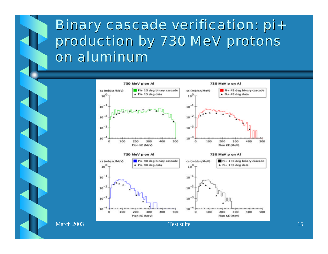

#### Binary cascade verification: pi+ production by 730 MeV protons on aluminum

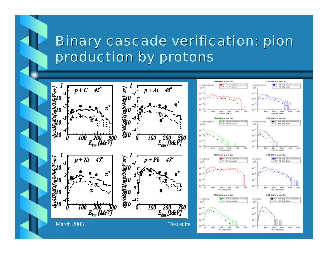### Binary cascade verification: pion production by protons



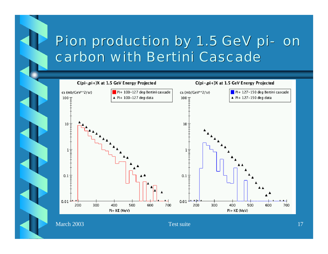#### Pion production by 1.5 GeV pi- on carbon with Bertini Cascade

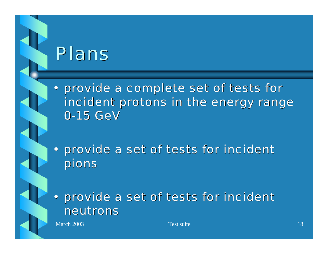### Plans

• provide a complete set of tests for incident protons in the energy range 0-15 GeV

• provide a set of tests for incident pions

• provide a set of tests for incident neutrons